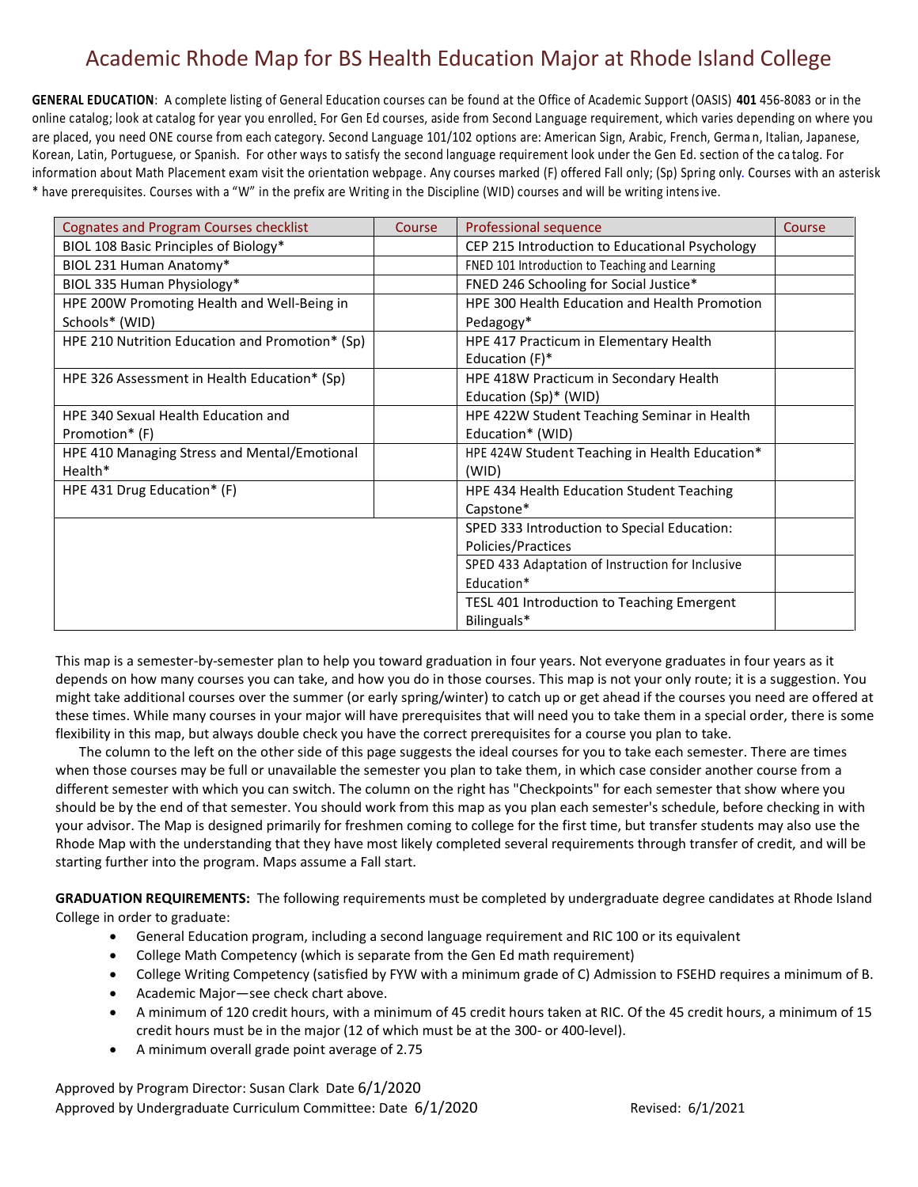**GENERAL EDUCATION**: A complete listing of General Education courses can be found at the Office of Academic Support (OASIS) **401** 456-8083 or in the online catalog; look at catalog for year you enrolled. For Gen Ed courses, aside from Second Language requirement, which varies depending on where you are placed, you need ONE course from each category. Second Language 101/102 options are: American Sign, Arabic, French, Germa n, Italian, Japanese, Korean, Latin, Portuguese, or Spanish. For other ways to satisfy the second language requirement look under the Gen Ed. section of the ca talog. For information about Math Placement exam visit the orientation webpage. Any courses marked (F) offered Fall only; (Sp) Spring only. Courses with an asterisk \* have prerequisites. Courses with a "W" in the prefix are Writing in the Discipline (WID) courses and will be writing intensive.

| <b>Cognates and Program Courses checklist</b>   | Course | Professional sequence                            | Course |
|-------------------------------------------------|--------|--------------------------------------------------|--------|
| BIOL 108 Basic Principles of Biology*           |        | CEP 215 Introduction to Educational Psychology   |        |
| BIOL 231 Human Anatomy*                         |        | FNED 101 Introduction to Teaching and Learning   |        |
| BIOL 335 Human Physiology*                      |        | FNED 246 Schooling for Social Justice*           |        |
| HPE 200W Promoting Health and Well-Being in     |        | HPE 300 Health Education and Health Promotion    |        |
| Schools* (WID)                                  |        | Pedagogy*                                        |        |
| HPE 210 Nutrition Education and Promotion* (Sp) |        | HPE 417 Practicum in Elementary Health           |        |
|                                                 |        | Education $(F)^*$                                |        |
| HPE 326 Assessment in Health Education* (Sp)    |        | HPE 418W Practicum in Secondary Health           |        |
|                                                 |        | Education (Sp)* (WID)                            |        |
| HPE 340 Sexual Health Education and             |        | HPE 422W Student Teaching Seminar in Health      |        |
| Promotion* (F)                                  |        | Education* (WID)                                 |        |
| HPE 410 Managing Stress and Mental/Emotional    |        | HPE 424W Student Teaching in Health Education*   |        |
| Health*                                         |        | (WID)                                            |        |
| HPE 431 Drug Education* (F)                     |        | HPE 434 Health Education Student Teaching        |        |
|                                                 |        | Capstone*                                        |        |
|                                                 |        | SPED 333 Introduction to Special Education:      |        |
|                                                 |        | Policies/Practices                               |        |
|                                                 |        | SPED 433 Adaptation of Instruction for Inclusive |        |
|                                                 |        | Education*                                       |        |
|                                                 |        | TESL 401 Introduction to Teaching Emergent       |        |
|                                                 |        | Bilinguals*                                      |        |

This map is a semester-by-semester plan to help you toward graduation in four years. Not everyone graduates in four years as it depends on how many courses you can take, and how you do in those courses. This map is not your only route; it is a suggestion. You might take additional courses over the summer (or early spring/winter) to catch up or get ahead if the courses you need are offered at these times. While many courses in your major will have prerequisites that will need you to take them in a special order, there is some flexibility in this map, but always double check you have the correct prerequisites for a course you plan to take.

 The column to the left on the other side of this page suggests the ideal courses for you to take each semester. There are times when those courses may be full or unavailable the semester you plan to take them, in which case consider another course from a different semester with which you can switch. The column on the right has "Checkpoints" for each semester that show where you should be by the end of that semester. You should work from this map as you plan each semester's schedule, before checking in with your advisor. The Map is designed primarily for freshmen coming to college for the first time, but transfer students may also use the Rhode Map with the understanding that they have most likely completed several requirements through transfer of credit, and will be starting further into the program. Maps assume a Fall start.

**GRADUATION REQUIREMENTS:** The following requirements must be completed by undergraduate degree candidates at Rhode Island College in order to graduate:

- General Education program, including a second language requirement and RIC 100 or its equivalent
- College Math Competency (which is separate from the Gen Ed math requirement)
- College Writing Competency (satisfied by FYW with a minimum grade of C) Admission to FSEHD requires a minimum of B.
- Academic Major—see check chart above.
- A minimum of 120 credit hours, with a minimum of 45 credit hours taken at RIC. Of the 45 credit hours, a minimum of 15 credit hours must be in the major (12 of which must be at the 300- or 400-level).
- A minimum overall grade point average of 2.75

Approved by Program Director: Susan Clark Date 6/1/2020 Approved by Undergraduate Curriculum Committee: Date 6/1/2020 Revised: 6/1/2021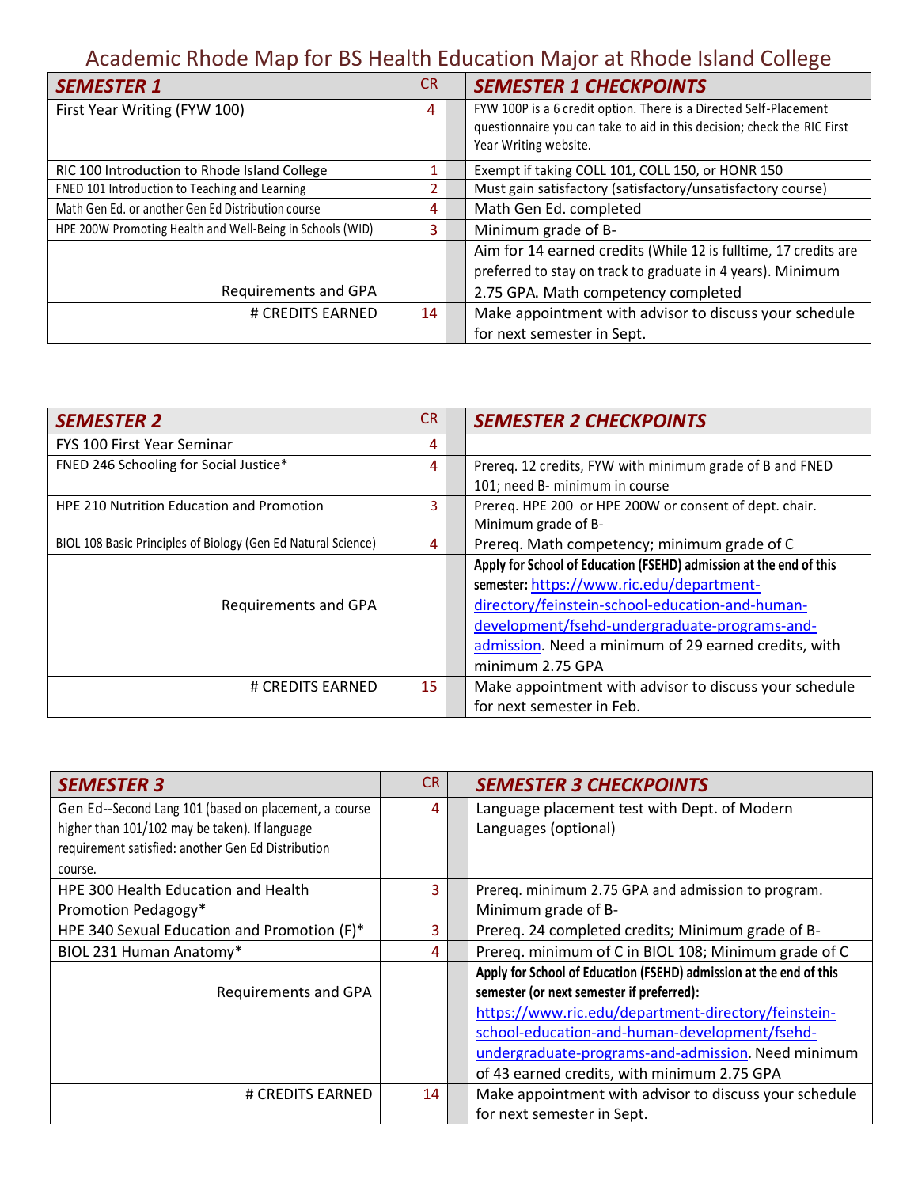| <b>SEMESTER 1</b>                                         | <b>CR</b> | <b>SEMESTER 1 CHECKPOINTS</b>                                                                                                                |
|-----------------------------------------------------------|-----------|----------------------------------------------------------------------------------------------------------------------------------------------|
| First Year Writing (FYW 100)                              | 4         | FYW 100P is a 6 credit option. There is a Directed Self-Placement<br>questionnaire you can take to aid in this decision; check the RIC First |
|                                                           |           | Year Writing website.                                                                                                                        |
| RIC 100 Introduction to Rhode Island College              |           | Exempt if taking COLL 101, COLL 150, or HONR 150                                                                                             |
| FNED 101 Introduction to Teaching and Learning            |           | Must gain satisfactory (satisfactory/unsatisfactory course)                                                                                  |
| Math Gen Ed. or another Gen Ed Distribution course        | 4         | Math Gen Ed. completed                                                                                                                       |
| HPE 200W Promoting Health and Well-Being in Schools (WID) | 3         | Minimum grade of B-                                                                                                                          |
|                                                           |           | Aim for 14 earned credits (While 12 is fulltime, 17 credits are                                                                              |
|                                                           |           | preferred to stay on track to graduate in 4 years). Minimum                                                                                  |
| Requirements and GPA                                      |           | 2.75 GPA. Math competency completed                                                                                                          |
| # CREDITS EARNED                                          | 14        | Make appointment with advisor to discuss your schedule                                                                                       |
|                                                           |           | for next semester in Sept.                                                                                                                   |

| <b>SEMESTER 2</b>                                             | <b>CR</b> | <b>SEMESTER 2 CHECKPOINTS</b>                                      |
|---------------------------------------------------------------|-----------|--------------------------------------------------------------------|
| FYS 100 First Year Seminar                                    | 4         |                                                                    |
| FNED 246 Schooling for Social Justice*                        | 4         | Prereq. 12 credits, FYW with minimum grade of B and FNED           |
|                                                               |           | 101; need B- minimum in course                                     |
| <b>HPE 210 Nutrition Education and Promotion</b>              | 3         | Prereq. HPE 200 or HPE 200W or consent of dept. chair.             |
|                                                               |           | Minimum grade of B-                                                |
| BIOL 108 Basic Principles of Biology (Gen Ed Natural Science) | 4         | Prereq. Math competency; minimum grade of C                        |
|                                                               |           | Apply for School of Education (FSEHD) admission at the end of this |
|                                                               |           | semester: https://www.ric.edu/department-                          |
| <b>Requirements and GPA</b>                                   |           | directory/feinstein-school-education-and-human-                    |
|                                                               |           | development/fsehd-undergraduate-programs-and-                      |
|                                                               |           | admission. Need a minimum of 29 earned credits, with               |
|                                                               |           | minimum 2.75 GPA                                                   |
| # CREDITS EARNED                                              | 15        | Make appointment with advisor to discuss your schedule             |
|                                                               |           | for next semester in Feb.                                          |

| <b>SEMESTER 3</b>                                     | <b>CR</b> | <b>SEMESTER 3 CHECKPOINTS</b>                                      |
|-------------------------------------------------------|-----------|--------------------------------------------------------------------|
| Gen Ed--Second Lang 101 (based on placement, a course | 4         | Language placement test with Dept. of Modern                       |
| higher than 101/102 may be taken). If language        |           | Languages (optional)                                               |
| requirement satisfied: another Gen Ed Distribution    |           |                                                                    |
| course.                                               |           |                                                                    |
| HPE 300 Health Education and Health                   | 3         | Prereg. minimum 2.75 GPA and admission to program.                 |
| Promotion Pedagogy*                                   |           | Minimum grade of B-                                                |
| HPE 340 Sexual Education and Promotion (F)*           | 3         | Prereq. 24 completed credits; Minimum grade of B-                  |
| BIOL 231 Human Anatomy*                               | 4         | Prereq. minimum of C in BIOL 108; Minimum grade of C               |
|                                                       |           | Apply for School of Education (FSEHD) admission at the end of this |
| Requirements and GPA                                  |           | semester (or next semester if preferred):                          |
|                                                       |           | https://www.ric.edu/department-directory/feinstein-                |
|                                                       |           | school-education-and-human-development/fsehd-                      |
|                                                       |           | undergraduate-programs-and-admission. Need minimum                 |
|                                                       |           | of 43 earned credits, with minimum 2.75 GPA                        |
| # CREDITS EARNED                                      | 14        | Make appointment with advisor to discuss your schedule             |
|                                                       |           | for next semester in Sept.                                         |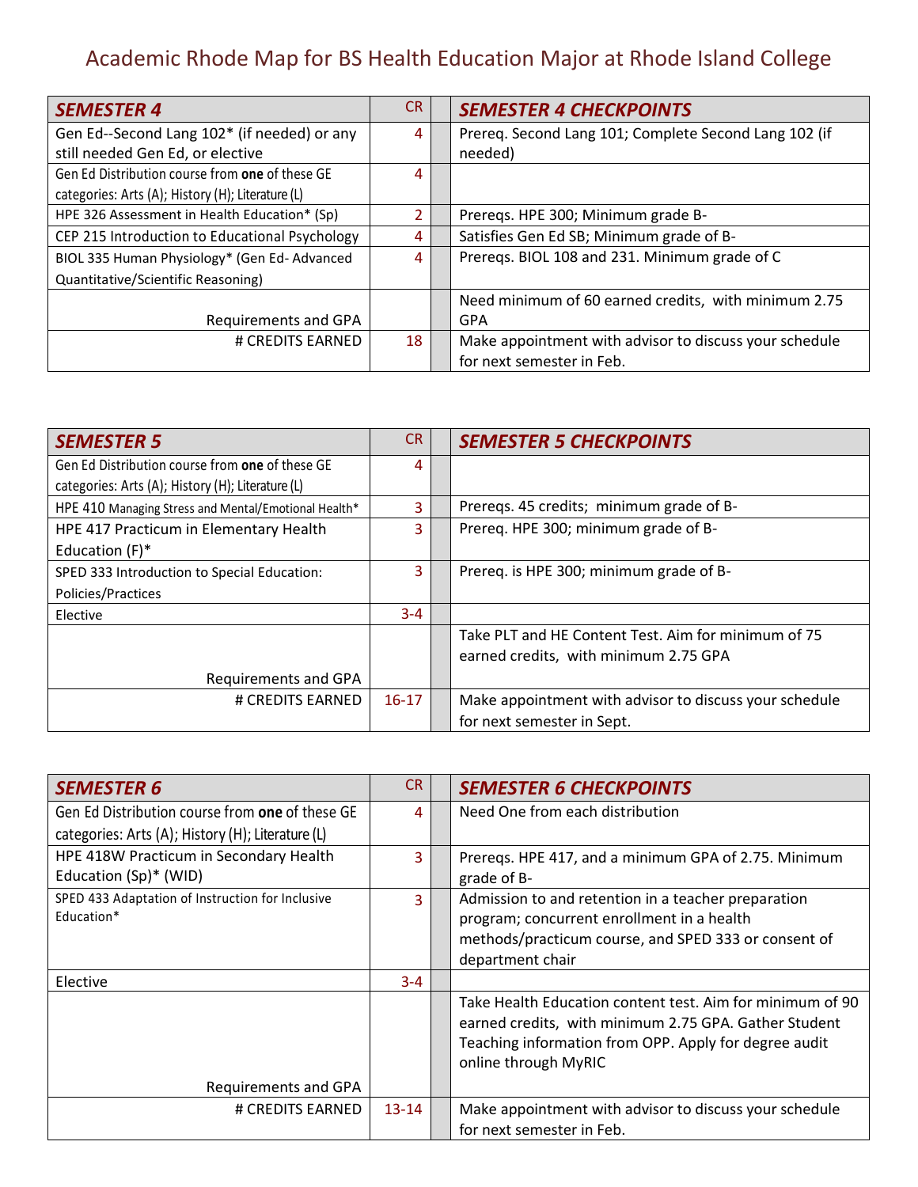| <b>SEMESTER 4</b>                                 | <b>CR</b> | <b>SEMESTER 4 CHECKPOINTS</b>                          |
|---------------------------------------------------|-----------|--------------------------------------------------------|
| Gen Ed--Second Lang 102* (if needed) or any       | 4         | Prereq. Second Lang 101; Complete Second Lang 102 (if  |
| still needed Gen Ed, or elective                  |           | needed)                                                |
| Gen Ed Distribution course from one of these GE   | 4         |                                                        |
| categories: Arts (A); History (H); Literature (L) |           |                                                        |
| HPE 326 Assessment in Health Education* (Sp)      |           | Preregs. HPE 300; Minimum grade B-                     |
| CEP 215 Introduction to Educational Psychology    | 4         | Satisfies Gen Ed SB; Minimum grade of B-               |
| BIOL 335 Human Physiology* (Gen Ed-Advanced       | 4         | Prereqs. BIOL 108 and 231. Minimum grade of C          |
| Quantitative/Scientific Reasoning)                |           |                                                        |
|                                                   |           | Need minimum of 60 earned credits, with minimum 2.75   |
| Requirements and GPA                              |           | GPA                                                    |
| # CREDITS EARNED                                  | 18        | Make appointment with advisor to discuss your schedule |
|                                                   |           | for next semester in Feb.                              |

| <b>SEMESTER 5</b>                                    | CR      | <b>SEMESTER 5 CHECKPOINTS</b>                          |
|------------------------------------------------------|---------|--------------------------------------------------------|
| Gen Ed Distribution course from one of these GE      | 4       |                                                        |
| categories: Arts (A); History (H); Literature (L)    |         |                                                        |
| HPE 410 Managing Stress and Mental/Emotional Health* |         | Prereqs. 45 credits; minimum grade of B-               |
| HPE 417 Practicum in Elementary Health               | 3       | Prereq. HPE 300; minimum grade of B-                   |
| Education (F)*                                       |         |                                                        |
| SPED 333 Introduction to Special Education:          | 3       | Prereq. is HPE 300; minimum grade of B-                |
| Policies/Practices                                   |         |                                                        |
| Elective                                             | $3 - 4$ |                                                        |
|                                                      |         | Take PLT and HE Content Test. Aim for minimum of 75    |
|                                                      |         | earned credits, with minimum 2.75 GPA                  |
| Requirements and GPA                                 |         |                                                        |
| # CREDITS EARNED                                     | $16-17$ | Make appointment with advisor to discuss your schedule |
|                                                      |         | for next semester in Sept.                             |

| <b>SEMESTER 6</b>                                 | CR.       | <b>SEMESTER 6 CHECKPOINTS</b>                             |
|---------------------------------------------------|-----------|-----------------------------------------------------------|
| Gen Ed Distribution course from one of these GE   | Δ.        | Need One from each distribution                           |
| categories: Arts (A); History (H); Literature (L) |           |                                                           |
| HPE 418W Practicum in Secondary Health            | 3         | Preregs. HPE 417, and a minimum GPA of 2.75. Minimum      |
| Education (Sp)* (WID)                             |           | grade of B-                                               |
| SPED 433 Adaptation of Instruction for Inclusive  | 3         | Admission to and retention in a teacher preparation       |
| Education*                                        |           | program; concurrent enrollment in a health                |
|                                                   |           | methods/practicum course, and SPED 333 or consent of      |
|                                                   |           | department chair                                          |
| Elective                                          | $3 - 4$   |                                                           |
|                                                   |           | Take Health Education content test. Aim for minimum of 90 |
|                                                   |           | earned credits, with minimum 2.75 GPA. Gather Student     |
|                                                   |           | Teaching information from OPP. Apply for degree audit     |
|                                                   |           | online through MyRIC                                      |
| Requirements and GPA                              |           |                                                           |
| # CREDITS EARNED                                  | $13 - 14$ | Make appointment with advisor to discuss your schedule    |
|                                                   |           | for next semester in Feb.                                 |